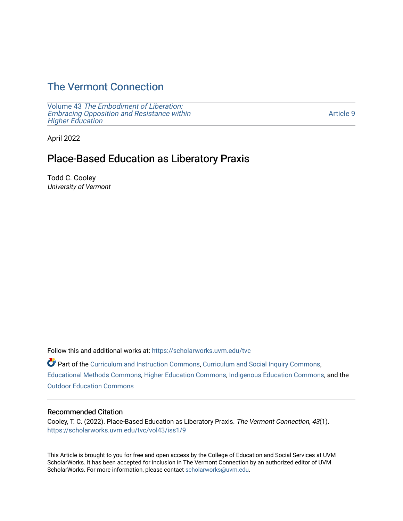# [The Vermont Connection](https://scholarworks.uvm.edu/tvc)

Volume 43 [The Embodiment of Liberation:](https://scholarworks.uvm.edu/tvc/vol43) [Embracing Opposition and Resistance within](https://scholarworks.uvm.edu/tvc/vol43)  [Higher Education](https://scholarworks.uvm.edu/tvc/vol43) 

[Article 9](https://scholarworks.uvm.edu/tvc/vol43/iss1/9) 

April 2022

# Place-Based Education as Liberatory Praxis

Todd C. Cooley University of Vermont

Follow this and additional works at: [https://scholarworks.uvm.edu/tvc](https://scholarworks.uvm.edu/tvc?utm_source=scholarworks.uvm.edu%2Ftvc%2Fvol43%2Fiss1%2F9&utm_medium=PDF&utm_campaign=PDFCoverPages)

Part of the [Curriculum and Instruction Commons,](http://network.bepress.com/hgg/discipline/786?utm_source=scholarworks.uvm.edu%2Ftvc%2Fvol43%2Fiss1%2F9&utm_medium=PDF&utm_campaign=PDFCoverPages) [Curriculum and Social Inquiry Commons,](http://network.bepress.com/hgg/discipline/1038?utm_source=scholarworks.uvm.edu%2Ftvc%2Fvol43%2Fiss1%2F9&utm_medium=PDF&utm_campaign=PDFCoverPages) [Educational Methods Commons,](http://network.bepress.com/hgg/discipline/1227?utm_source=scholarworks.uvm.edu%2Ftvc%2Fvol43%2Fiss1%2F9&utm_medium=PDF&utm_campaign=PDFCoverPages) [Higher Education Commons,](http://network.bepress.com/hgg/discipline/1245?utm_source=scholarworks.uvm.edu%2Ftvc%2Fvol43%2Fiss1%2F9&utm_medium=PDF&utm_campaign=PDFCoverPages) [Indigenous Education Commons,](http://network.bepress.com/hgg/discipline/1379?utm_source=scholarworks.uvm.edu%2Ftvc%2Fvol43%2Fiss1%2F9&utm_medium=PDF&utm_campaign=PDFCoverPages) and the [Outdoor Education Commons](http://network.bepress.com/hgg/discipline/1381?utm_source=scholarworks.uvm.edu%2Ftvc%2Fvol43%2Fiss1%2F9&utm_medium=PDF&utm_campaign=PDFCoverPages)

## Recommended Citation

Cooley, T. C. (2022). Place-Based Education as Liberatory Praxis. The Vermont Connection, 43(1). [https://scholarworks.uvm.edu/tvc/vol43/iss1/9](https://scholarworks.uvm.edu/tvc/vol43/iss1/9?utm_source=scholarworks.uvm.edu%2Ftvc%2Fvol43%2Fiss1%2F9&utm_medium=PDF&utm_campaign=PDFCoverPages) 

This Article is brought to you for free and open access by the College of Education and Social Services at UVM ScholarWorks. It has been accepted for inclusion in The Vermont Connection by an authorized editor of UVM ScholarWorks. For more information, please contact [scholarworks@uvm.edu](mailto:scholarworks@uvm.edu).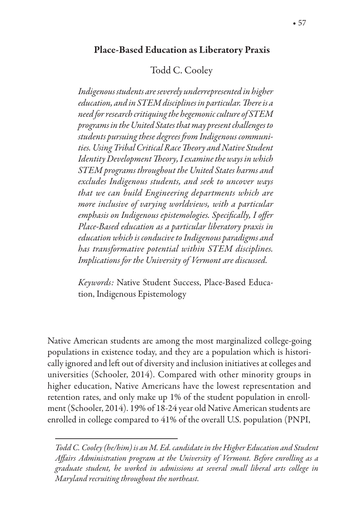## Todd C. Cooley

*Indigenous students are severely underrepresented in higher education, and in STEM disciplines in particular.* !*ere is a need for research critiquing the hegemonic culture of STEM programs in the United States that may present challenges to students pursuing these degrees* "*om Indigenous communities. Using Tribal Critical Race* !*eory and Native Student Identity Development* !*eory, I examine the ways in which STEM programs throughout the United States harms and excludes Indigenous students, and seek to unco*v*er ways that we can build Engineering departments which are more inclusive of varying worldviews, with a particular*   $e$ *emphasis on Indigenous epistemologies. Specifically, I offer Place-Based education as a particular liberatory praxis in education which is conducive to Indigenous paradigms and has transformative potential within STEM disciplines. Implications for the University of Vermont are discussed.* 

*Keywords:* Native Student Success, Place-Based Education, Indigenous Epistemology

Native American students are among the most marginalized college-going populations in existence today, and they are a population which is historically ignored and left out of diversity and inclusion initiatives at colleges and universities (Schooler, 2014). Compared with other minority groups in higher education, Native Americans have the lowest representation and retention rates, and only make up 1% of the student population in enrollment (Schooler, 2014). 19% of 18-24 year old Native American students are enrolled in college compared to 41% of the overall U.S. population (PNPI,

*Todd C. Cooley (he/him) is an M. Ed. candidate in the Higher Education and Student A*%*airs Administration program at the University of Vermont. Before enrolling as a graduate student, he worked in admissions at several small liberal arts college in Maryland recruiting throughout the northeast.*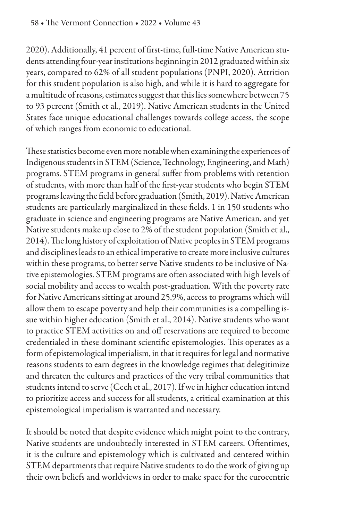2020). Additionally, 41 percent of first-time, full-time Native American students attending four-year institutions beginning in 2012 graduated within six years, compared to 62% of all student populations (PNPI, 2020). Attrition for this student population is also high, and while it is hard to aggregate for a multitude of reasons, estimates suggest that this lies somewhere between 75 to 93 percent (Smith et al., 2019). Native American students in the United States face unique educational challenges towards college access, the scope of which ranges from economic to educational.

These statistics become even more notable when examining the experiences of Indigenous students in STEM (Science, Technology, Engineering, and Math) programs. STEM programs in general suffer from problems with retention of students, with more than half of the first-year students who begin STEM programs leaving the field before graduation (Smith, 2019). Native American students are particularly marginalized in these fields. 1 in 150 students who graduate in science and engineering programs are Native American, and yet Native students make up close to 2% of the student population (Smith et al., 2014). The long history of exploitation of Native peoples in STEM programs and disciplines leads to an ethical imperative to create more inclusive cultures within these programs, to better serve Native students to be inclusive of Native epistemologies. STEM programs are often associated with high levels of social mobility and access to wealth post-graduation. With the poverty rate for Native Americans sitting at around 25.9%, access to programs which will allow them to escape poverty and help their communities is a compelling issue within higher education (Smith et al., 2014). Native students who want to practice STEM activities on and off reservations are required to become credentialed in these dominant scientific epistemologies. This operates as a form of epistemological imperialism, in that it requires for legal and normative reasons students to earn degrees in the knowledge regimes that delegitimize and threaten the cultures and practices of the very tribal communities that students intend to serve (Cech et al., 2017). If we in higher education intend to prioritize access and success for all students, a critical examination at this epistemological imperialism is warranted and necessary.

It should be noted that despite evidence which might point to the contrary, Native students are undoubtedly interested in STEM careers. Oftentimes, it is the culture and epistemology which is cultivated and centered within STEM departments that require Native students to do the work of giving up their own beliefs and worldviews in order to make space for the eurocentric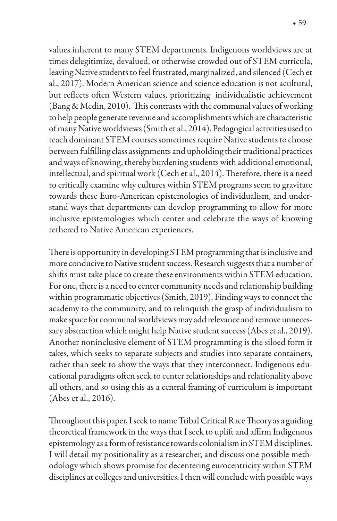values inherent to many STEM departments. Indigenous worldviews are at times delegitimize, devalued, or otherwise crowded out of STEM curricula, leaving Native students to feel frustrated, marginalized, and silenced (Cech et al., 2017). Modern American science and science education is not acultural, but reflects often Western values, prioritizing individualistic achievement (Bang & Medin, 2010). This contrasts with the communal values of working to help people generate revenue and accomplishments which are characteristic of many Native worldviews (Smith et al., 2014). Pedagogical activities used to teach dominant STEM courses sometimes require Native students to choose between fulfilling class assignments and upholding their traditional practices and ways of knowing, thereby burdening students with additional emotional, intellectual, and spiritual work (Cech et al., 2014). Therefore, there is a need to critically examine why cultures within STEM programs seem to gravitate towards these Euro-American epistemologies of individualism, and understand ways that departments can develop programming to allow for more inclusive epistemologies which center and celebrate the ways of knowing tethered to Native American experiences.

There is opportunity in developing STEM programming that is inclusive and more conducive to Native student success. Research suggests that a number of shifts must take place to create these environments within STEM education. For one, there is a need to center community needs and relationship building within programmatic objectives (Smith, 2019). Finding ways to connect the academy to the community, and to relinquish the grasp of individualism to make space for communal worldviews may add relevance and remove unnecessary abstraction which might help Native student success (Abes et al., 2019). Another noninclusive element of STEM programming is the siloed form it takes, which seeks to separate subjects and studies into separate containers, rather than seek to show the ways that they interconnect. Indigenous educational paradigms often seek to center relationships and relationality above all others, and so using this as a central framing of curriculum is important (Abes et al., 2016).

Throughout this paper, I seek to name Tribal Critical Race Theory as a guiding theoretical framework in the ways that I seek to uplift and affirm Indigenous epistemology as a form of resistance towards colonialism in STEM disciplines. I will detail my positionality as a researcher, and discuss one possible methodology which shows promise for decentering eurocentricity within STEM disciplines at colleges and universities. I then will conclude with possible ways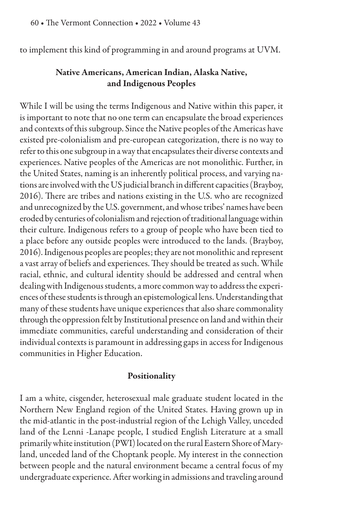to implement this kind of programming in and around programs at UVM.

## Native Americans, American Indian, Alaska Native, and Indigenous Peoples

While I will be using the terms Indigenous and Native within this paper, it is important to note that no one term can encapsulate the broad experiences and contexts of this subgroup. Since the Native peoples of the Americas have existed pre-colonialism and pre-european categorization, there is no way to refer to this one subgroup in a way that encapsulates their diverse contexts and experiences. Native peoples of the Americas are not monolithic. Further, in the United States, naming is an inherently political process, and varying nations are involved with the US judicial branch in different capacities (Brayboy, 2016). There are tribes and nations existing in the U.S. who are recognized and unrecognized by the U.S. government, and whose tribes' names have been eroded by centuries of colonialism and rejection of traditional language within their culture. Indigenous refers to a group of people who have been tied to a place before any outside peoples were introduced to the lands. (Brayboy, 2016). Indigenous peoples are peoples; they are not monolithic and represent a vast array of beliefs and experiences. They should be treated as such. While racial, ethnic, and cultural identity should be addressed and central when dealing with Indigenous students, a more common way to address the experiences of these students is through an epistemological lens. Understanding that many of these students have unique experiences that also share commonality through the oppression felt by Institutional presence on land and within their immediate communities, careful understanding and consideration of their individual contexts is paramount in addressing gaps in access for Indigenous communities in Higher Education.

#### Positionality

I am a white, cisgender, heterosexual male graduate student located in the Northern New England region of the United States. Having grown up in the mid-atlantic in the post-industrial region of the Lehigh Valley, unceded land of the Lenni -Lanape people, I studied English Literature at a small primarily white institution (PWI) located on the rural Eastern Shore of Maryland, unceded land of the Choptank people. My interest in the connection between people and the natural environment became a central focus of my undergraduate experience. After working in admissions and traveling around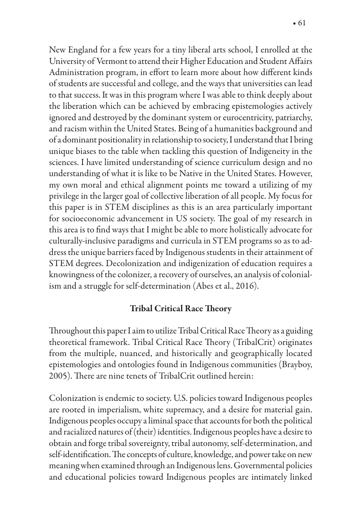New England for a few years for a tiny liberal arts school, I enrolled at the University of Vermont to attend their Higher Education and Student Affairs Administration program, in effort to learn more about how different kinds of students are successful and college, and the ways that universities can lead to that success. It was in this program where I was able to think deeply about the liberation which can be achieved by embracing epistemologies actively ignored and destroyed by the dominant system or eurocentricity, patriarchy, and racism within the United States. Being of a humanities background and of a dominant positionality in relationship to society, I understand that I bring unique biases to the table when tackling this question of Indigeneity in the sciences. I have limited understanding of science curriculum design and no understanding of what it is like to be Native in the United States. However, my own moral and ethical alignment points me toward a utilizing of my privilege in the larger goal of collective liberation of all people. My focus for this paper is in STEM disciplines as this is an area particularly important for socioeconomic advancement in US society. The goal of my research in this area is to find ways that I might be able to more holistically advocate for culturally-inclusive paradigms and curricula in STEM programs so as to address the unique barriers faced by Indigenous students in their attainment of STEM degrees. Decolonization and indigenization of education requires a knowingness of the colonizer, a recovery of ourselves, an analysis of colonialism and a struggle for self-determination (Abes et al., 2016).

# **Tribal Critical Race Theory**

Throughout this paper I aim to utilize Tribal Critical Race Theory as a guiding theoretical framework. Tribal Critical Race Theory (TribalCrit) originates from the multiple, nuanced, and historically and geographically located epistemologies and ontologies found in Indigenous communities (Brayboy, 2005). There are nine tenets of TribalCrit outlined herein:

Colonization is endemic to society. U.S. policies toward Indigenous peoples are rooted in imperialism, white supremacy, and a desire for material gain. Indigenous peoples occupy a liminal space that accounts for both the political and racialized natures of (their) identities. Indigenous peoples have a desire to obtain and forge tribal sovereignty, tribal autonomy, self-determination, and self-identification. The concepts of culture, knowledge, and power take on new meaning when examined through an Indigenous lens. Governmental policies and educational policies toward Indigenous peoples are intimately linked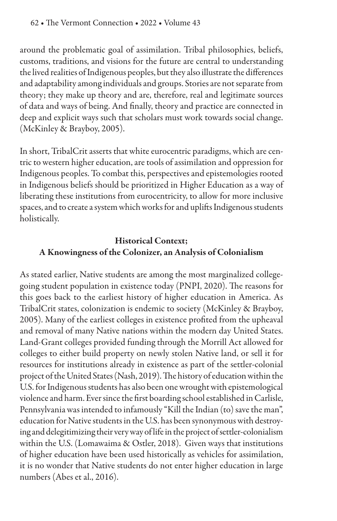around the problematic goal of assimilation. Tribal philosophies, beliefs, customs, traditions, and visions for the future are central to understanding the lived realities of Indigenous peoples, but they also illustrate the differences and adaptability among individuals and groups. Stories are not separate from theory; they make up theory and are, therefore, real and legitimate sources of data and ways of being. And finally, theory and practice are connected in deep and explicit ways such that scholars must work towards social change. (McKinley & Brayboy, 2005).

In short, TribalCrit asserts that white eurocentric paradigms, which are centric to western higher education, are tools of assimilation and oppression for Indigenous peoples. To combat this, perspectives and epistemologies rooted in Indigenous beliefs should be prioritized in Higher Education as a way of liberating these institutions from eurocentricity, to allow for more inclusive spaces, and to create a system which works for and uplifts Indigenous students holistically.

# Historical Context; A Knowingness of the Colonizer, an Analysis of Colonialism

As stated earlier, Native students are among the most marginalized collegegoing student population in existence today (PNPI, 2020). The reasons for this goes back to the earliest history of higher education in America. As TribalCrit states, colonization is endemic to society (McKinley & Brayboy, 2005). Many of the earliest colleges in existence profited from the upheaval and removal of many Native nations within the modern day United States. Land-Grant colleges provided funding through the Morrill Act allowed for colleges to either build property on newly stolen Native land, or sell it for resources for institutions already in existence as part of the settler-colonial project of the United States (Nash, 2019). The history of education within the U.S. for Indigenous students has also been one wrought with epistemological violence and harm. Ever since the first boarding school established in Carlisle, Pennsylvania was intended to infamously "Kill the Indian (to) save the man", education for Native students in the U.S. has been synonymous with destroying and delegitimizing their very way of life in the project of settler-colonialism within the U.S. (Lomawaima & Ostler, 2018). Given ways that institutions of higher education have been used historically as vehicles for assimilation, it is no wonder that Native students do not enter higher education in large numbers (Abes et al., 2016).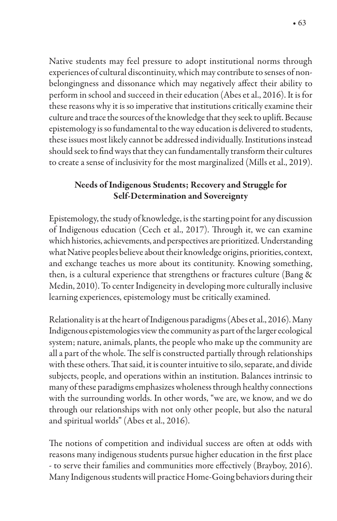Native students may feel pressure to adopt institutional norms through experiences of cultural discontinuity, which may contribute to senses of nonbelongingness and dissonance which may negatively affect their ability to perform in school and succeed in their education (Abes et al., 2016). It is for these reasons why it is so imperative that institutions critically examine their culture and trace the sources of the knowledge that they seek to uplift. Because epistemology is so fundamental to the way education is delivered to students, these issues most likely cannot be addressed individually. Institutions instead should seek to find ways that they can fundamentally transform their cultures to create a sense of inclusivity for the most marginalized (Mills et al., 2019).

# Needs of Indigenous Students; Recovery and Struggle for Self-Determination and Sovereignty

Epistemology, the study of knowledge, is the starting point for any discussion of Indigenous education (Cech et al., 2017). Through it, we can examine which histories, achievements, and perspectives are prioritized. Understanding what Native peoples believe about their knowledge origins, priorities, context, and exchange teaches us more about its contitunity. Knowing something, then, is a cultural experience that strengthens or fractures culture (Bang & Medin, 2010). To center Indigeneity in developing more culturally inclusive learning experiences, epistemology must be critically examined.

Relationality is at the heart of Indigenous paradigms (Abes et al., 2016). Many Indigenous epistemologies view the community as part of the larger ecological system; nature, animals, plants, the people who make up the community are all a part of the whole. The self is constructed partially through relationships with these others. That said, it is counter intuitive to silo, separate, and divide subjects, people, and operations within an institution. Balances intrinsic to many of these paradigms emphasizes wholeness through healthy connections with the surrounding worlds. In other words, "we are, we know, and we do through our relationships with not only other people, but also the natural and spiritual worlds" (Abes et al., 2016).

The notions of competition and individual success are often at odds with reasons many indigenous students pursue higher education in the first place - to serve their families and communities more effectively (Brayboy, 2016). Many Indigenous students will practice Home-Going behaviors during their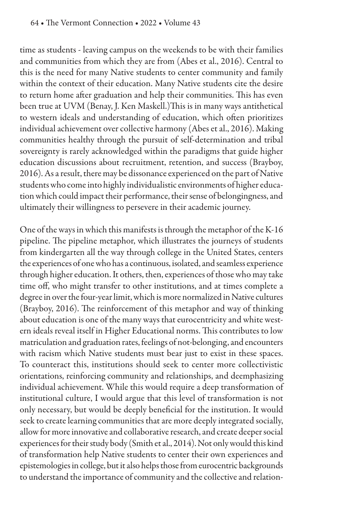time as students - leaving campus on the weekends to be with their families and communities from which they are from (Abes et al., 2016). Central to this is the need for many Native students to center community and family within the context of their education. Many Native students cite the desire to return home after graduation and help their communities. This has even been true at UVM (Benay, J. Ken Maskell.) This is in many ways antithetical to western ideals and understanding of education, which often prioritizes individual achievement over collective harmony (Abes et al., 2016). Making communities healthy through the pursuit of self-determination and tribal sovereignty is rarely acknowledged within the paradigms that guide higher education discussions about recruitment, retention, and success (Brayboy, 2016). As a result, there may be dissonance experienced on the part of Native students who come into highly individualistic environments of higher education which could impact their performance, their sense of belongingness, and ultimately their willingness to persevere in their academic journey.

One of the ways in which this manifests is through the metaphor of the K-16 pipeline. The pipeline metaphor, which illustrates the journeys of students from kindergarten all the way through college in the United States, centers the experiences of one who has a continuous, isolated, and seamless experience through higher education. It others, then, experiences of those who may take time off, who might transfer to other institutions, and at times complete a degree in over the four-year limit, which is more normalized in Native cultures (Brayboy, 2016). The reinforcement of this metaphor and way of thinking about education is one of the many ways that eurocentricity and white western ideals reveal itself in Higher Educational norms. This contributes to low matriculation and graduation rates, feelings of not-belonging, and encounters with racism which Native students must bear just to exist in these spaces. To counteract this, institutions should seek to center more collectivistic orientations, reinforcing community and relationships, and deemphasizing individual achievement. While this would require a deep transformation of institutional culture, I would argue that this level of transformation is not only necessary, but would be deeply beneficial for the institution. It would seek to create learning communities that are more deeply integrated socially, allow for more innovative and collaborative research, and create deeper social experiences for their study body (Smith et al., 2014). Not only would this kind of transformation help Native students to center their own experiences and epistemologies in college, but it also helps those from eurocentric backgrounds to understand the importance of community and the collective and relation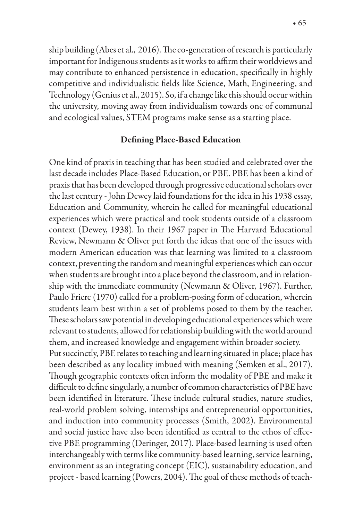ship building (Abes et al., 2016). The co-generation of research is particularly important for Indigenous students as it works to affirm their worldviews and may contribute to enhanced persistence in education, specifically in highly competitive and individualistic fields like Science, Math, Engineering, and Technology (Genius et al., 2015). So, if a change like this should occur within the university, moving away from individualism towards one of communal and ecological values, STEM programs make sense as a starting place.

#### Defining Place-Based Education

One kind of praxis in teaching that has been studied and celebrated over the last decade includes Place-Based Education, or PBE. PBE has been a kind of praxis that has been developed through progressive educational scholars over the last century - John Dewey laid foundations for the idea in his 1938 essay, Education and Community, wherein he called for meaningful educational experiences which were practical and took students outside of a classroom context (Dewey, 1938). In their 1967 paper in The Harvard Educational Review, Newmann & Oliver put forth the ideas that one of the issues with modern American education was that learning was limited to a classroom context, preventing the random and meaningful experiences which can occur when students are brought into a place beyond the classroom, and in relationship with the immediate community (Newmann & Oliver, 1967). Further, Paulo Friere (1970) called for a problem-posing form of education, wherein students learn best within a set of problems posed to them by the teacher. These scholars saw potential in developing educational experiences which were relevant to students, allowed for relationship building with the world around them, and increased knowledge and engagement within broader society. Put succinctly, PBE relates to teaching and learning situated in place; place has been described as any locality imbued with meaning (Semken et al., 2017). Though geographic contexts often inform the modality of PBE and make it difficult to define singularly, a number of common characteristics of PBE have been identified in literature. These include cultural studies, nature studies, real-world problem solving, internships and entrepreneurial opportunities, and induction into community processes (Smith, 2002). Environmental and social justice have also been identified as central to the ethos of effective PBE programming (Deringer, 2017). Place-based learning is used often interchangeably with terms like community-based learning, service learning, environment as an integrating concept (EIC), sustainability education, and project - based learning (Powers, 2004). The goal of these methods of teach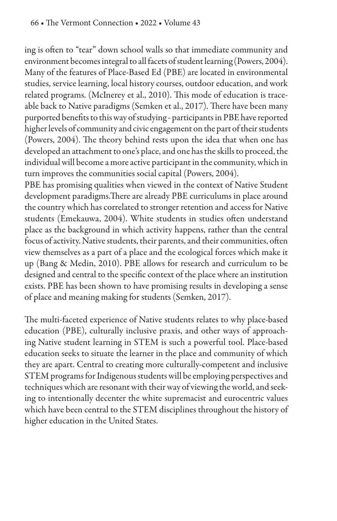ing is often to "tear" down school walls so that immediate community and environment becomes integral to all facets of student learning (Powers, 2004). Many of the features of Place-Based Ed (PBE) are located in environmental studies, service learning, local history courses, outdoor education, and work related programs. (McInerey et al., 2010). This mode of education is traceable back to Native paradigms (Semken et al., 2017). There have been many purported benefits to this way of studying - participants in PBE have reported higher levels of community and civic engagement on the part of their students (Powers, 2004). The theory behind rests upon the idea that when one has developed an attachment to one's place, and one has the skills to proceed, the individual will become a more active participant in the community, which in turn improves the communities social capital (Powers, 2004).

PBE has promising qualities when viewed in the context of Native Student development paradigms. There are already PBE curriculums in place around the country which has correlated to stronger retention and access for Native students (Emekauwa, 2004). White students in studies often understand place as the background in which activity happens, rather than the central focus of activity. Native students, their parents, and their communities, often view themselves as a part of a place and the ecological forces which make it up (Bang & Medin, 2010). PBE allows for research and curriculum to be designed and central to the specific context of the place where an institution exists. PBE has been shown to have promising results in developing a sense of place and meaning making for students (Semken, 2017).

The multi-faceted experience of Native students relates to why place-based education (PBE), culturally inclusive praxis, and other ways of approaching Native student learning in STEM is such a powerful tool. Place-based education seeks to situate the learner in the place and community of which they are apart. Central to creating more culturally-competent and inclusive STEM programs for Indigenous students will be employing perspectives and techniques which are resonant with their way of viewing the world, and seeking to intentionally decenter the white supremacist and eurocentric values which have been central to the STEM disciplines throughout the history of higher education in the United States.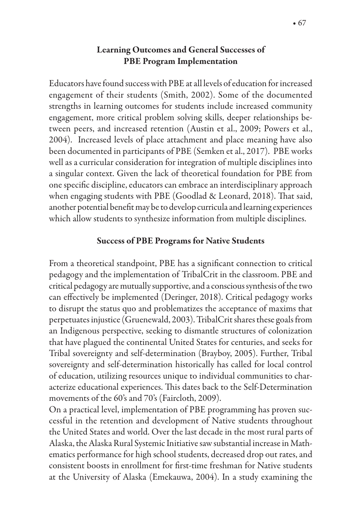## Learning Outcomes and General Successes of PBE Program Implementation

Educators have found success with PBE at all levels of education for increased engagement of their students (Smith, 2002). Some of the documented strengths in learning outcomes for students include increased community engagement, more critical problem solving skills, deeper relationships between peers, and increased retention (Austin et al., 2009; Powers et al., 2004). Increased levels of place attachment and place meaning have also been documented in participants of PBE (Semken et al., 2017). PBE works well as a curricular consideration for integration of multiple disciplines into a singular context. Given the lack of theoretical foundation for PBE from one specific discipline, educators can embrace an interdisciplinary approach when engaging students with PBE (Goodlad & Leonard, 2018). That said, another potential benefit may be to develop curricula and learning experiences which allow students to synthesize information from multiple disciplines.

### Success of PBE Programs for Native Students

From a theoretical standpoint, PBE has a significant connection to critical pedagogy and the implementation of TribalCrit in the classroom. PBE and critical pedagogy are mutually supportive, and a conscious synthesis of the two can effectively be implemented (Deringer, 2018). Critical pedagogy works to disrupt the status quo and problematizes the acceptance of maxims that perpetuates injustice (Gruenewald, 2003). TribalCrit shares these goals from an Indigenous perspective, seeking to dismantle structures of colonization that have plagued the continental United States for centuries, and seeks for Tribal sovereignty and self-determination (Brayboy, 2005). Further, Tribal sovereignty and self-determination historically has called for local control of education, utilizing resources unique to individual communities to characterize educational experiences. This dates back to the Self-Determination movements of the 60's and 70's (Faircloth, 2009).

On a practical level, implementation of PBE programming has proven successful in the retention and development of Native students throughout the United States and world. Over the last decade in the most rural parts of Alaska, the Alaska Rural Systemic Initiative saw substantial increase in Mathematics performance for high school students, decreased drop out rates, and consistent boosts in enrollment for first-time freshman for Native students at the University of Alaska (Emekauwa, 2004). In a study examining the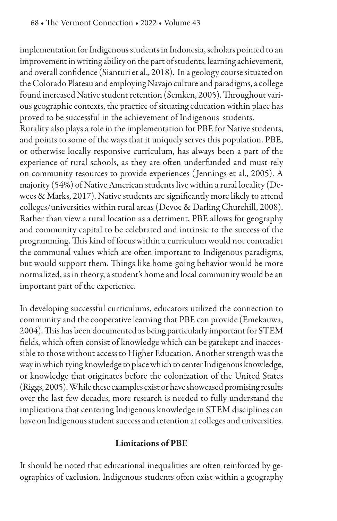implementation for Indigenous students in Indonesia, scholars pointed to an improvement in writing ability on the part of students, learning achievement, and overall confidence (Sianturi et al., 2018). In a geology course situated on the Colorado Plateau and employing Navajo culture and paradigms, a college found increased Native student retention (Semken, 2005). Throughout various geographic contexts, the practice of situating education within place has proved to be successful in the achievement of Indigenous students.

Rurality also plays a role in the implementation for PBE for Native students, and points to some of the ways that it uniquely serves this population. PBE, or otherwise locally responsive curriculum, has always been a part of the experience of rural schools, as they are often underfunded and must rely on community resources to provide experiences ( Jennings et al., 2005). A majority (54%) of Native American students live within a rural locality (Dewees & Marks, 2017). Native students are significantly more likely to attend colleges/universities within rural areas (Devoe & Darling Churchill, 2008). Rather than view a rural location as a detriment, PBE allows for geography and community capital to be celebrated and intrinsic to the success of the programming. This kind of focus within a curriculum would not contradict the communal values which are often important to Indigenous paradigms, but would support them. Things like home-going behavior would be more normalized, as in theory, a student's home and local community would be an important part of the experience.

In developing successful curriculums, educators utilized the connection to community and the cooperative learning that PBE can provide (Emekauwa, 2004). This has been documented as being particularly important for STEM fields, which often consist of knowledge which can be gatekept and inaccessible to those without access to Higher Education. Another strength was the way in which tying knowledge to place which to center Indigenous knowledge, or knowledge that originates before the colonization of the United States (Riggs, 2005). While these examples exist or have showcased promising results over the last few decades, more research is needed to fully understand the implications that centering Indigenous knowledge in STEM disciplines can have on Indigenous student success and retention at colleges and universities.

# Limitations of PBE

It should be noted that educational inequalities are often reinforced by geographies of exclusion. Indigenous students often exist within a geography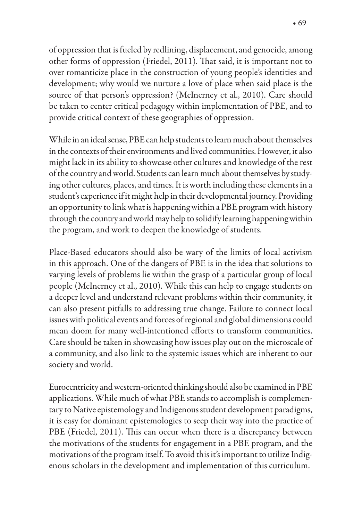of oppression that is fueled by redlining, displacement, and genocide, among other forms of oppression (Friedel, 2011). That said, it is important not to over romanticize place in the construction of young people's identities and development; why would we nurture a love of place when said place is the source of that person's oppression? (McInerney et al., 2010). Care should be taken to center critical pedagogy within implementation of PBE, and to provide critical context of these geographies of oppression.

While in an ideal sense, PBE can help students to learn much about themselves in the contexts of their environments and lived communities. However, it also might lack in its ability to showcase other cultures and knowledge of the rest of the country and world. Students can learn much about themselves by studying other cultures, places, and times. It is worth including these elements in a student's experience if it might help in their developmental journey. Providing an opportunity to link what is happening within a PBE program with history through the country and world may help to solidify learning happening within the program, and work to deepen the knowledge of students.

Place-Based educators should also be wary of the limits of local activism in this approach. One of the dangers of PBE is in the idea that solutions to varying levels of problems lie within the grasp of a particular group of local people (McInerney et al., 2010). While this can help to engage students on a deeper level and understand relevant problems within their community, it can also present pitfalls to addressing true change. Failure to connect local issues with political events and forces of regional and global dimensions could mean doom for many well-intentioned efforts to transform communities. Care should be taken in showcasing how issues play out on the microscale of a community, and also link to the systemic issues which are inherent to our society and world.

Eurocentricity and western-oriented thinking should also be examined in PBE applications. While much of what PBE stands to accomplish is complementary to Native epistemology and Indigenous student development paradigms, it is easy for dominant epistemologies to seep their way into the practice of PBE (Friedel, 2011). This can occur when there is a discrepancy between the motivations of the students for engagement in a PBE program, and the motivations of the program itself. To avoid this it's important to utilize Indigenous scholars in the development and implementation of this curriculum.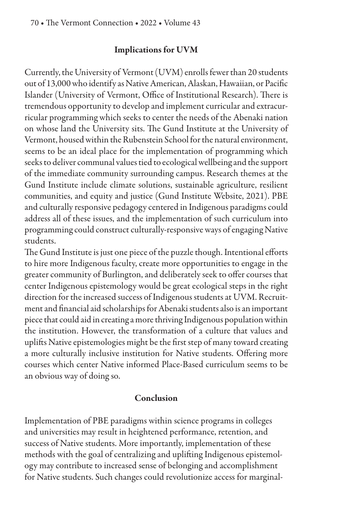#### Implications for UVM

Currently, the University of Vermont (UVM) enrolls fewer than 20 students out of 13,000 who identify as Native American, Alaskan, Hawaiian, or Pacific Islander (University of Vermont, Office of Institutional Research). There is tremendous opportunity to develop and implement curricular and extracurricular programming which seeks to center the needs of the Abenaki nation on whose land the University sits. The Gund Institute at the University of Vermont, housed within the Rubenstein School for the natural environment, seems to be an ideal place for the implementation of programming which seeks to deliver communal values tied to ecological wellbeing and the support of the immediate community surrounding campus. Research themes at the Gund Institute include climate solutions, sustainable agriculture, resilient communities, and equity and justice (Gund Institute Website, 2021). PBE and culturally responsive pedagogy centered in Indigenous paradigms could address all of these issues, and the implementation of such curriculum into programming could construct culturally-responsive ways of engaging Native students.

The Gund Institute is just one piece of the puzzle though. Intentional efforts to hire more Indigenous faculty, create more opportunities to engage in the greater community of Burlington, and deliberately seek to offer courses that center Indigenous epistemology would be great ecological steps in the right direction for the increased success of Indigenous students at UVM. Recruitment and financial aid scholarships for Abenaki students also is an important piece that could aid in creating a more thriving Indigenous population within the institution. However, the transformation of a culture that values and uplifts Native epistemologies might be the first step of many toward creating a more culturally inclusive institution for Native students. Offering more courses which center Native informed Place-Based curriculum seems to be an obvious way of doing so.

#### Conclusion

Implementation of PBE paradigms within science programs in colleges and universities may result in heightened performance, retention, and success of Native students. More importantly, implementation of these methods with the goal of centralizing and uplifting Indigenous epistemology may contribute to increased sense of belonging and accomplishment for Native students. Such changes could revolutionize access for marginal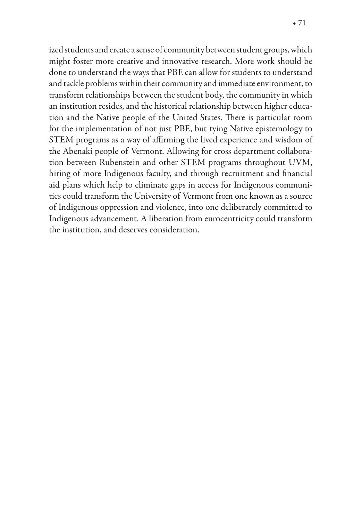ized students and create a sense of community between student groups, which might foster more creative and innovative research. More work should be done to understand the ways that PBE can allow for students to understand and tackle problems within their community and immediate environment, to transform relationships between the student body, the community in which an institution resides, and the historical relationship between higher education and the Native people of the United States. There is particular room for the implementation of not just PBE, but tying Native epistemology to STEM programs as a way of affirming the lived experience and wisdom of the Abenaki people of Vermont. Allowing for cross department collaboration between Rubenstein and other STEM programs throughout UVM, hiring of more Indigenous faculty, and through recruitment and financial aid plans which help to eliminate gaps in access for Indigenous communities could transform the University of Vermont from one known as a source of Indigenous oppression and violence, into one deliberately committed to Indigenous advancement. A liberation from eurocentricity could transform the institution, and deserves consideration.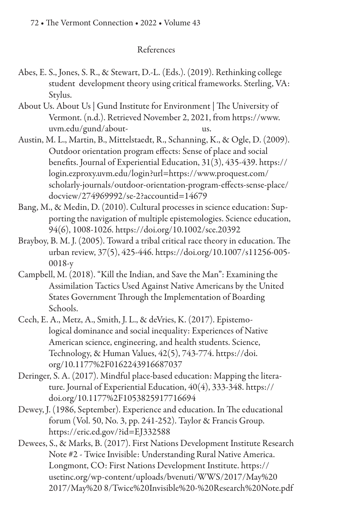### References

- Abes, E. S., Jones, S. R., & Stewart, D.-L. (Eds.). (2019). Rethinking college student development theory using critical frameworks. Sterling, VA: Stylus.
- About Us. About Us | Gund Institute for Environment | The University of Vermont. (n.d.). Retrieved November 2, 2021, from https://www. uvm.edu/gund/about- us.
- Austin, M. L., Martin, B., Mittelstaedt, R., Schanning, K., & Ogle, D. (2009). Outdoor orientation program effects: Sense of place and social benefits. Journal of Experiential Education, 31(3), 435-439. https:// login.ezproxy.uvm.edu/login?url=https://www.proquest.com/ scholarly-journals/outdoor-orientation-program-effects-sense-place/ docview/274969992/se-2?accountid=14679
- Bang, M., & Medin, D. (2010). Cultural processes in science education: Supporting the navigation of multiple epistemologies. Science education, 94(6), 1008-1026. https://doi.org/10.1002/sce.20392
- Brayboy, B. M. J. (2005). Toward a tribal critical race theory in education. The urban review, 37(5), 425-446. https://doi.org/10.1007/s11256-005- 0018-y
- Campbell, M. (2018). "Kill the Indian, and Save the Man": Examining the Assimilation Tactics Used Against Native Americans by the United States Government Through the Implementation of Boarding Schools.
- Cech, E. A., Metz, A., Smith, J. L., & deVries, K. (2017). Epistemological dominance and social inequality: Experiences of Native American science, engineering, and health students. Science, Technology, & Human Values, 42(5), 743-774. https://doi. org/10.1177%2F0162243916687037
- Deringer, S. A. (2017). Mindful place-based education: Mapping the literature. Journal of Experiential Education, 40(4), 333-348. https:// doi.org/10.1177%2F1053825917716694
- Dewey, J. (1986, September). Experience and education. In The educational forum (Vol. 50, No. 3, pp. 241-252). Taylor & Francis Group. https://eric.ed.gov/?id=EJ332588
- Dewees, S., & Marks, B. (2017). First Nations Development Institute Research Note #2 - Twice Invisible: Understanding Rural Native America. Longmont, CO: First Nations Development Institute. https:// usetinc.org/wp-content/uploads/bvenuti/WWS/2017/May%20 2017/May%20 8/Twice%20Invisible%20-%20Research%20Note.pdf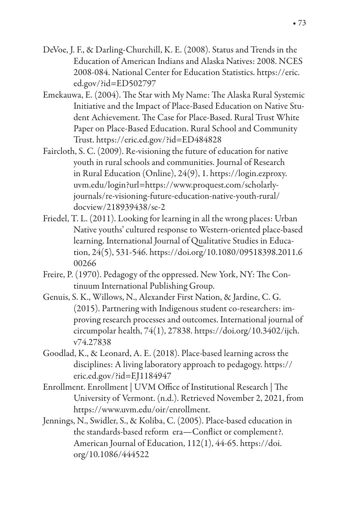- DeVoe, J. F., & Darling-Churchill, K. E. (2008). Status and Trends in the Education of American Indians and Alaska Natives: 2008. NCES 2008-084. National Center for Education Statistics. https://eric. ed.gov/?id=ED502797
- Emekauwa, E. (2004). The Star with My Name: The Alaska Rural Systemic Initiative and the Impact of Place-Based Education on Native Student Achievement. The Case for Place-Based. Rural Trust White Paper on Place-Based Education. Rural School and Community Trust. https://eric.ed.gov/?id=ED484828
- Faircloth, S. C. (2009). Re-visioning the future of education for native youth in rural schools and communities. Journal of Research in Rural Education (Online), 24(9), 1. https://login.ezproxy. uvm.edu/login?url=https://www.proquest.com/scholarlyjournals/re-visioning-future-education-native-youth-rural/ docview/218939438/se-2
- Friedel, T. L. (2011). Looking for learning in all the wrong places: Urban Native youths' cultured response to Western-oriented place-based learning. International Journal of Qualitative Studies in Education, 24(5), 531-546. https://doi.org/10.1080/09518398.2011.6 00266
- Freire, P. (1970). Pedagogy of the oppressed. New York, NY: The Continuum International Publishing Group.
- Genuis, S. K., Willows, N., Alexander First Nation, & Jardine, C. G. (2015). Partnering with Indigenous student co-researchers: improving research processes and outcomes. International journal of circumpolar health, 74(1), 27838. https://doi.org/10.3402/ijch. v74.27838
- Goodlad, K., & Leonard, A. E. (2018). Place-based learning across the disciplines: A living laboratory approach to pedagogy. https:// eric.ed.gov/?id=EJ1184947
- Enrollment. Enrollment | UVM Office of Institutional Research | The University of Vermont. (n.d.). Retrieved November 2, 2021, from https://www.uvm.edu/oir/enrollment.
- Jennings, N., Swidler, S., & Koliba, C. (2005). Place-based education in the standards-based reform era-Conflict or complement?. American Journal of Education, 112(1), 44-65. https://doi. org/10.1086/444522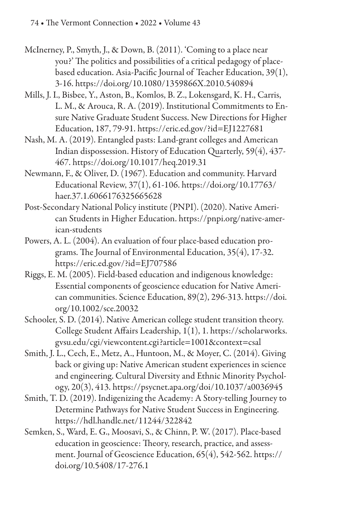- McInerney, P., Smyth, J., & Down, B. (2011). 'Coming to a place near you?' The politics and possibilities of a critical pedagogy of placebased education. Asia-Pacific Journal of Teacher Education,  $39(1)$ , 3-16. https://doi.org/10.1080/1359866X.2010.540894
- Mills, J. I., Bisbee, Y., Aston, B., Komlos, B. Z., Lokensgard, K. H., Carris, L. M., & Arouca, R. A. (2019). Institutional Commitments to Ensure Native Graduate Student Success. New Directions for Higher Education, 187, 79-91. https://eric.ed.gov/?id=EJ1227681
- Nash, M. A. (2019). Entangled pasts: Land-grant colleges and American Indian dispossession. History of Education Quarterly, 59(4), 437- 467. https://doi.org/10.1017/heq.2019.31
- Newmann, F., & Oliver, D. (1967). Education and community. Harvard Educational Review, 37(1), 61-106. https://doi.org/10.17763/ haer.37.1.6066176325665628
- Post-Secondary National Policy institute (PNPI). (2020). Native American Students in Higher Education. https://pnpi.org/native-american-students
- Powers, A. L. (2004). An evaluation of four place-based education programs. The Journal of Environmental Education,  $35(4)$ , 17-32. https://eric.ed.gov/?id=EJ707586
- Riggs, E. M. (2005). Field‐based education and indigenous knowledge: Essential components of geoscience education for Native American communities. Science Education, 89(2), 296-313. https://doi. org/10.1002/sce.20032
- Schooler, S. D. (2014). Native American college student transition theory. College Student Affairs Leadership, 1(1), 1. https://scholarworks. gvsu.edu/cgi/viewcontent.cgi?article=1001&context=csal
- Smith, J. L., Cech, E., Metz, A., Huntoon, M., & Moyer, C. (2014). Giving back or giving up: Native American student experiences in science and engineering. Cultural Diversity and Ethnic Minority Psychology, 20(3), 413. https://psycnet.apa.org/doi/10.1037/a0036945
- Smith, T. D. (2019). Indigenizing the Academy: A Story-telling Journey to Determine Pathways for Native Student Success in Engineering. https://hdl.handle.net/11244/322842
- Semken, S., Ward, E. G., Moosavi, S., & Chinn, P. W. (2017). Place-based education in geoscience: Theory, research, practice, and assessment. Journal of Geoscience Education, 65(4), 542-562. https:// doi.org/10.5408/17-276.1